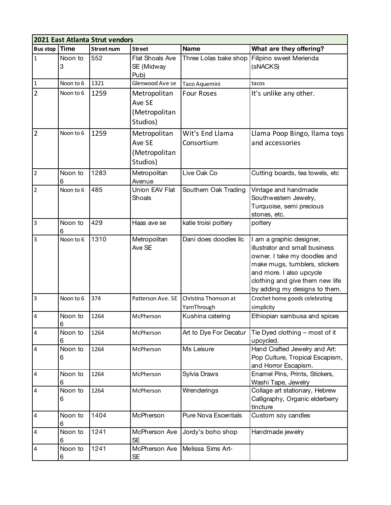| 2021 East Atlanta Strut vendors |                  |                   |                                                     |                                     |                                                                                                                                                                                                                             |  |  |
|---------------------------------|------------------|-------------------|-----------------------------------------------------|-------------------------------------|-----------------------------------------------------------------------------------------------------------------------------------------------------------------------------------------------------------------------------|--|--|
| <b>Bus stop</b>                 | <b>Time</b>      | <b>Street num</b> | <b>Street</b>                                       | <b>Name</b>                         | What are they offering?                                                                                                                                                                                                     |  |  |
| $\mathbf 1$                     | Noon to<br>3     | 552               | Flat Shoals Ave<br>SE (Midway<br>Pub)               | Three Lolas bake shop               | Filipino sweet Merienda<br>(sNACKS)                                                                                                                                                                                         |  |  |
| $\mathbf 1$                     | Noon to 6        | 1321              | Glenwood Ave se                                     | Taco Aquemini                       | tacos                                                                                                                                                                                                                       |  |  |
| $\overline{2}$                  | Noon to 6        | 1259              | Metropolitan<br>Ave SE<br>(Metropolitan<br>Studios) | <b>Four Roses</b>                   | It's unlike any other.                                                                                                                                                                                                      |  |  |
| $\overline{2}$                  | Noon to 6        | 1259              | Metropolitan<br>Ave SE<br>(Metropolitan<br>Studios) | Wit's End Llama<br>Consortium       | Llama Poop Bingo, Ilama toys<br>and accessories                                                                                                                                                                             |  |  |
| $\overline{2}$                  | Noon to<br>6     | 1283              | Metropolitan<br>Avenue                              | Live Oak Co                         | Cutting boards, tea towels, etc                                                                                                                                                                                             |  |  |
| $\overline{2}$                  | Noon to 6        | 485               | Union EAV Flat<br>Shoals                            | Southern Oak Trading                | Vintage and handmade<br>Southwestern Jewelry,<br>Turquoise, semi precious<br>stones, etc.                                                                                                                                   |  |  |
| $\overline{3}$                  | Noon to<br>6     | 429               | Haas ave se                                         | katie troisi pottery                | pottery                                                                                                                                                                                                                     |  |  |
| $\overline{\mathbf{3}}$         | Noon to 6        | 1310              | Metropolitan<br>Ave SE                              | Dani does doodles llc               | I am a graphic designer,<br>illustrator and small business<br>owner. I take my doodles and<br>make mugs, tumblers, stickers<br>and more. I also upcycle<br>clothing and give them new life<br>by adding my designs to them. |  |  |
| 3                               | Noon to 6        | 374               | Patterson Ave. SE                                   | Christina Thomson at<br>YarnThrough | Crochet home goods celebrating<br>simplicity                                                                                                                                                                                |  |  |
| $\overline{4}$                  | Noon to<br>$\,6$ | 1264              | McPherson                                           | Kushina catering                    | Ethiopian sambusa and spices                                                                                                                                                                                                |  |  |
| $\overline{\mathbf{4}}$         | Noon to<br>6     | 1264              | McPherson                                           | Art to Dye For Decatur              | Tie Dyed clothing - most of it<br>upcycled.                                                                                                                                                                                 |  |  |
| 4                               | Noon to<br>6     | 1264              | McPherson                                           | Ms Leisure                          | Hand Crafted Jewelry and Art:<br>Pop Culture, Tropical Escapism,<br>and Horror Escapism.                                                                                                                                    |  |  |
| $\overline{4}$                  | Noon to<br>6     | 1264              | McPherson                                           | Sylvia Draws                        | Enamel Pins, Prints, Stickers,<br>Washi Tape, Jewelry                                                                                                                                                                       |  |  |
| 4                               | Noon to<br>6     | 1264              | McPherson                                           | Wrenderings                         | Collage art stationary, Hebrew<br>Calligraphy, Organic elderberry<br>tincture                                                                                                                                               |  |  |
| 4                               | Noon to<br>6     | 1404              | McPherson                                           | <b>Pure Nova Escentials</b>         | Custom soy candles                                                                                                                                                                                                          |  |  |
| 4                               | Noon to<br>6     | 1241              | McPherson Ave<br><b>SE</b>                          | Jordy's boho shop                   | Handmade jewelry                                                                                                                                                                                                            |  |  |
| 4                               | Noon to<br>6     | 1241              | McPherson Ave<br><b>SE</b>                          | Melissa Sims Art-                   |                                                                                                                                                                                                                             |  |  |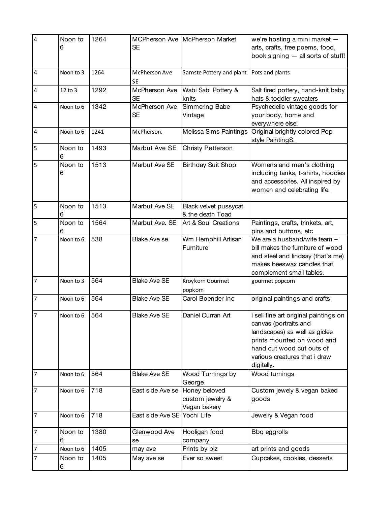| $\overline{\mathbf{4}}$ | Noon to<br>6 | 1264 | <b>SE</b>                  | MCPherson Ave McPherson Market                    | we're hosting a mini market $-$<br>arts, crafts, free poems, food,<br>book signing - all sorts of stuff!                                                                                                  |
|-------------------------|--------------|------|----------------------------|---------------------------------------------------|-----------------------------------------------------------------------------------------------------------------------------------------------------------------------------------------------------------|
| $\overline{4}$          | Noon to 3    | 1264 | McPherson Ave<br><b>SE</b> | Samste Pottery and plant                          | Pots and plants                                                                                                                                                                                           |
| 4                       | 12 to 3      | 1292 | McPherson Ave<br><b>SE</b> | Wabi Sabi Pottery &<br>knits                      | Salt fired pottery, hand-knit baby<br>hats & toddler sweaters                                                                                                                                             |
| 4                       | Noon to 6    | 1342 | McPherson Ave<br><b>SE</b> | Simmering Babe<br>Vintage                         | Psychedelic vintage goods for<br>your body, home and<br>everywhere else!                                                                                                                                  |
| $\pmb{4}$               | Noon to 6    | 1241 | McPherson.                 | Melissa Sims Paintings                            | Original brightly colored Pop<br>style PaintingS.                                                                                                                                                         |
| 5                       | Noon to<br>6 | 1493 | Marbut Ave SE              | Christy Petterson                                 |                                                                                                                                                                                                           |
| 5                       | Noon to<br>6 | 1513 | Marbut Ave SE              | <b>Birthday Suit Shop</b>                         | Womens and men's clothing<br>including tanks, t-shirts, hoodies<br>and accessories. All inspired by<br>women and celebrating life.                                                                        |
| 5                       | Noon to<br>6 | 1513 | Marbut Ave SE              | Black velvet pussycat<br>& the death Toad         |                                                                                                                                                                                                           |
| 5                       | Noon to<br>6 | 1564 | Marbut Ave. SE             | Art & Soul Creations                              | Paintings, crafts, trinkets, art,<br>pins and buttons, etc                                                                                                                                                |
| 7                       | Noon to 6    | 538  | <b>Blake Ave se</b>        | Wm Hemphill Artisan<br>Furniture                  | We are a husband/wife team -<br>bill makes the furniture of wood<br>and steel and lindsay (that's me)<br>makes beeswax candles that<br>complement small tables.                                           |
| $\overline{7}$          | Noon to 3    | 564  | <b>Blake Ave SE</b>        | Kroykorn Gourmet<br>popkorn                       | gourmet popcorn                                                                                                                                                                                           |
| $\overline{7}$          | Noon to 6    | 564  | <b>Blake Ave SE</b>        | Carol Boender Inc                                 | original paintings and crafts                                                                                                                                                                             |
| 7                       | Noon to 6    | 564  | <b>Blake Ave SE</b>        | Daniel Curran Art                                 | i sell fine art original paintings on<br>canvas (portraits and<br>landscapes) as well as giclee<br>prints mounted on wood and<br>hand cut wood cut outs of<br>various creatures that i draw<br>digitally. |
| $\overline{7}$          | Noon to 6    | 564  | <b>Blake Ave SE</b>        | Wood Turnings by<br>George                        | Wood turnings                                                                                                                                                                                             |
| $\overline{7}$          | Noon to 6    | 718  | East side Ave se           | Honey beloved<br>custom jewelry &<br>Vegan bakery | Custom jewely & vegan baked<br>goods                                                                                                                                                                      |
| 7                       | Noon to 6    | 718  | East side Ave SE           | Yochi Life                                        | Jewelry & Vegan food                                                                                                                                                                                      |
| 7                       | Noon to<br>6 | 1380 | Glenwood Ave<br>se         | Hooligan food<br>company                          | Bbq eggrolls                                                                                                                                                                                              |
| 7                       | Noon to 6    | 1405 | may ave                    | Prints by biz                                     | art prints and goods                                                                                                                                                                                      |
| 7                       | Noon to<br>6 | 1405 | May ave se                 | Ever so sweet                                     | Cupcakes, cookies, desserts                                                                                                                                                                               |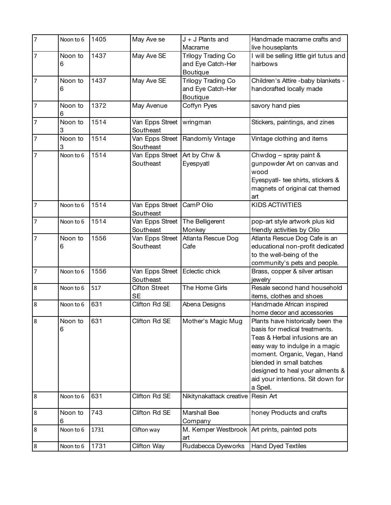| $\overline{7}$ | Noon to 6    | 1405 | May Ave se                                     | $J + J$ Plants and                                         | Handmade macrame crafts and                                                                                                                                                                                                                                                             |
|----------------|--------------|------|------------------------------------------------|------------------------------------------------------------|-----------------------------------------------------------------------------------------------------------------------------------------------------------------------------------------------------------------------------------------------------------------------------------------|
|                |              |      |                                                | Macrame                                                    | live houseplants                                                                                                                                                                                                                                                                        |
| $\overline{7}$ | Noon to<br>6 | 1437 | May Ave SE                                     | Trilogy Trading Co<br>and Eye Catch-Her<br><b>Boutique</b> | I will be selling little girl tutus and<br>hairbows                                                                                                                                                                                                                                     |
| $\overline{7}$ | Noon to<br>6 | 1437 | May Ave SE                                     | Trilogy Trading Co<br>and Eye Catch-Her<br>Boutique        | Children's Attire -baby blankets -<br>handcrafted locally made                                                                                                                                                                                                                          |
| $\overline{7}$ | Noon to<br>6 | 1372 | May Avenue                                     | Coffyn Pyes                                                | savory hand pies                                                                                                                                                                                                                                                                        |
| $\overline{7}$ | Noon to<br>3 | 1514 | Van Epps Street<br>Southeast                   | wringman                                                   | Stickers, paintings, and zines                                                                                                                                                                                                                                                          |
| $\overline{7}$ | Noon to<br>3 | 1514 | Southeast                                      | Van Epps Street   Randomly Vintage                         | Vintage clothing and items                                                                                                                                                                                                                                                              |
| 7              | Noon to 6    | 1514 | Van Epps Street Art by Chw &<br>Southeast      | Eyespyatl                                                  | Chwdog - spray paint &<br>gunpowder Art on canvas and<br>wood<br>Eyespyatl- tee shirts, stickers &<br>magnets of original cat themed<br>art                                                                                                                                             |
| $\overline{7}$ | Noon to 6    | 1514 | Van Epps Street<br>Southeast                   | CamP Olio                                                  | <b>KIDS ACTIVITIES</b>                                                                                                                                                                                                                                                                  |
| 7              | Noon to 6    | 1514 | Van Epps Street   The Belligerent<br>Southeast | Monkey                                                     | pop-art style artwork plus kid<br>friendly activities by Olio                                                                                                                                                                                                                           |
| 7              | Noon to<br>6 | 1556 | Van Epps Street<br>Southeast                   | Atlanta Rescue Dog<br>Cafe                                 | Atlanta Rescue Dog Cafe is an<br>educational non-profit dedicated<br>to the well-being of the<br>community's pets and people.                                                                                                                                                           |
| $\overline{7}$ | Noon to 6    | 1556 | Van Epps Street<br>Southeast                   | Eclectic chick                                             | Brass, copper & silver artisan<br>jewelry                                                                                                                                                                                                                                               |
| 8              | Noon to 6    | 517  | <b>Cifton Street</b><br><b>SE</b>              | The Home Girls                                             | Resale second hand household<br>items, clothes and shoes                                                                                                                                                                                                                                |
| 8              | Noon to 6    | 631  | Clifton Rd SE                                  | Abena Designs                                              | Handmade African inspired<br>home decor and accessories                                                                                                                                                                                                                                 |
| 8              | Noon to<br>6 | 631  | Clifton Rd SE                                  | Mother's Magic Mug                                         | Plants have historically been the<br>basis for medical treatments.<br>Teas & Herbal infusions are an<br>easy way to indulge in a magic<br>moment. Organic, Vegan, Hand<br>blended in small batches<br>designed to heal your ailments &<br>aid your intentions. Sit down for<br>a Spell. |
| 8              | Noon to 6    | 631  | Clifton Rd SE                                  | Nikitynakattack creative                                   | Resin Art                                                                                                                                                                                                                                                                               |
| 8              | Noon to<br>6 | 743  | Clifton Rd SE                                  | Marshall Bee<br>Company                                    | honey Products and crafts                                                                                                                                                                                                                                                               |
| 8              | Noon to 6    | 1731 | Clifton way                                    | M. Kemper Westbrook<br>art                                 | Art prints, painted pots                                                                                                                                                                                                                                                                |
| 8              | Noon to 6    | 1731 | Clifton Way                                    | Rudabecca Dyeworks                                         | <b>Hand Dyed Textiles</b>                                                                                                                                                                                                                                                               |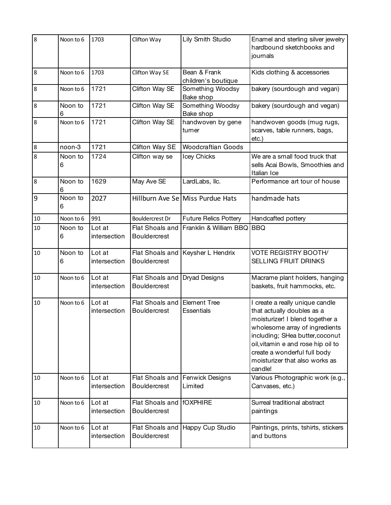| 8       | Noon to 6    | 1703                   | Clifton Way                            | Lily Smith Studio                        | Enamel and sterling silver jewelry<br>hardbound sketchbooks and<br>journals                                                                                                                                                                                                              |
|---------|--------------|------------------------|----------------------------------------|------------------------------------------|------------------------------------------------------------------------------------------------------------------------------------------------------------------------------------------------------------------------------------------------------------------------------------------|
| 8       | Noon to 6    | 1703                   | Clifton Way SE                         | Bean & Frank<br>children's boutique      | Kids clothing & accessories                                                                                                                                                                                                                                                              |
| 8       | Noon to 6    | 1721                   | Clifton Way SE                         | Something Woodsy<br>Bake shop            | bakery (sourdough and vegan)                                                                                                                                                                                                                                                             |
| 8       | Noon to<br>6 | 1721                   | Clifton Way SE                         | Something Woodsy<br>Bake shop            | bakery (sourdough and vegan)                                                                                                                                                                                                                                                             |
| 8       | Noon to 6    | 1721                   | Clifton Way SE                         | handwoven by gene<br>turner              | handwoven goods (mug rugs,<br>scarves, table runners, bags,<br>etc.)                                                                                                                                                                                                                     |
| $\bf 8$ | noon-3       | 1721                   | Clifton Way SE                         | <b>Woodcraftian Goods</b>                |                                                                                                                                                                                                                                                                                          |
| 8       | Noon to<br>6 | 1724                   | Clifton way se                         | Icey Chicks                              | We are a small food truck that<br>sells Acai Bowls, Smoothies and<br>Italian Ice                                                                                                                                                                                                         |
| 8       | Noon to<br>6 | 1629                   | May Ave SE                             | LardLabs, Ilc.                           | Performance art tour of house                                                                                                                                                                                                                                                            |
| 9       | Noon to<br>6 | 2027                   |                                        | Hillburn Ave Se Miss Purdue Hats         | handmade hats                                                                                                                                                                                                                                                                            |
| 10      | Noon to 6    | 991                    | <b>Bouldercrest Dr</b>                 | <b>Future Relics Pottery</b>             | Handcafted pottery                                                                                                                                                                                                                                                                       |
| 10      | Noon to<br>6 | Lot at<br>intersection | Flat Shoals and<br>Bouldercrest        | Franklin & William BBQ BBQ               |                                                                                                                                                                                                                                                                                          |
| 10      | Noon to<br>6 | Lot at<br>intersection | Flat Shoals and<br><b>Bouldercrest</b> | Keysher L Hendrix                        | <b>VOTE REGISTRY BOOTH/</b><br>SELLING FRUIT DRINKS                                                                                                                                                                                                                                      |
| 10      | Noon to 6    | Lot at<br>intersection | Flat Shoals and<br><b>Bouldercrest</b> | <b>Dryad Designs</b>                     | Macrame plant holders, hanging<br>baskets, fruit hammocks, etc.                                                                                                                                                                                                                          |
| 10      | Noon to 6    | Lot at<br>intersection | Flat Shoals and<br><b>Bouldercrest</b> | <b>Element Tree</b><br><b>Essentials</b> | I create a really unique candle<br>that actually doubles as a<br>moisturizer! I blend together a<br>wholesome array of ingredients<br>including; SHea butter, coconut<br>oil, vitamin e and rose hip oil to<br>create a wonderful full body<br>moisturizer that also works as<br>candle! |
| 10      | Noon to 6    | Lot at<br>intersection | Flat Shoals and<br><b>Bouldercrest</b> | Fenwick Designs<br>Limited               | Various Photographic work (e.g.,<br>Canvases, etc.)                                                                                                                                                                                                                                      |
| 10      | Noon to 6    | Lot at<br>intersection | Flat Shoals and<br><b>Bouldercrest</b> | <b>fOXPHIRE</b>                          | Surreal traditional abstract<br>paintings                                                                                                                                                                                                                                                |
| 10      | Noon to 6    | Lot at<br>intersection | Flat Shoals and<br><b>Bouldercrest</b> | Happy Cup Studio                         | Paintings, prints, tshirts, stickers<br>and buttons                                                                                                                                                                                                                                      |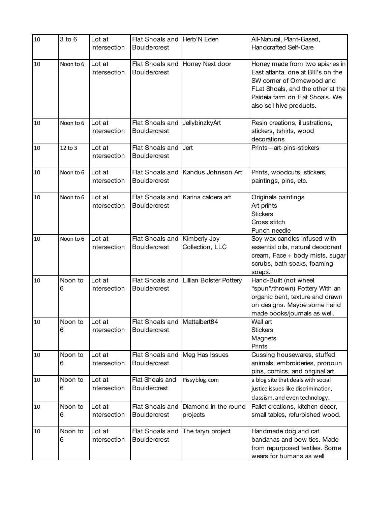| 10 | 3 to 6       | Lot at<br>intersection | Flat Shoals and Herb'N Eden<br><b>Bouldercrest</b>  |                                  | All-Natural, Plant-Based,<br><b>Handcrafted Self-Care</b>                                                                                                                                              |
|----|--------------|------------------------|-----------------------------------------------------|----------------------------------|--------------------------------------------------------------------------------------------------------------------------------------------------------------------------------------------------------|
| 10 | Noon to 6    | Lot at<br>intersection | Flat Shoals and<br><b>Bouldercrest</b>              | Honey Next door                  | Honey made from two apiaries in<br>East atlanta, one at BIII's on the<br>SW corner of Ormewood and<br>FLat Shoals, and the other at the<br>Paideia farm on Flat Shoals. We<br>also sell hive products. |
| 10 | Noon to 6    | Lot at<br>intersection | Flat Shoals and<br><b>Bouldercrest</b>              | JellybinzkyArt                   | Resin creations, illustrations,<br>stickers, tshirts, wood<br>decorations                                                                                                                              |
| 10 | 12 to 3      | Lot at<br>intersection | Flat Shoals and<br><b>Bouldercrest</b>              | Jert                             | Prints-art-pins-stickers                                                                                                                                                                               |
| 10 | Noon to 6    | Lot at<br>intersection | Flat Shoals and<br><b>Bouldercrest</b>              | Kandus Johnson Art               | Prints, woodcuts, stickers,<br>paintings, pins, etc.                                                                                                                                                   |
| 10 | Noon to 6    | Lot at<br>intersection | Flat Shoals and<br><b>Bouldercrest</b>              | Karina caldera art               | Originals paintings<br>Art prints<br><b>Stickers</b><br>Cross stitch<br>Punch needle                                                                                                                   |
| 10 | Noon to 6    | Lot at<br>intersection | Flat Shoals and<br><b>Bouldercrest</b>              | Kimberly Joy<br>Collection, LLC  | Soy wax candles infused with<br>essential oils, natural deodorant<br>cream, Face + body mists, sugar<br>scrubs, bath soaks, foaming<br>soaps.                                                          |
| 10 | Noon to<br>6 | Lot at<br>intersection | Flat Shoals and<br><b>Bouldercrest</b>              | Lillian Bolster Pottery          | Hand-Built (not wheel<br>"spun"/thrown) Pottery With an<br>organic bent, texture and drawn<br>on designs. Maybe some hand<br>made books/journals as well.                                              |
| 10 | Noon to<br>6 | Lot at<br>intersection | Flat Shoals and Mattalbert84<br><b>Bouldercrest</b> |                                  | Wall art<br><b>Stickers</b><br>Magnets<br>Prints                                                                                                                                                       |
| 10 | Noon to<br>6 | Lot at<br>intersection | Flat Shoals and<br><b>Bouldercrest</b>              | Meg Has Issues                   | Cussing housewares, stuffed<br>animals, embroideries, pronoun<br>pins, comics, and original art.                                                                                                       |
| 10 | Noon to<br>6 | Lot at<br>intersection | Flat Shoals and<br><b>Bouldercrest</b>              | Pissyblog.com                    | a blog site that deals with social<br>justice issues like discrimination,<br>classism, and even technology.                                                                                            |
| 10 | Noon to<br>6 | Lot at<br>intersection | Flat Shoals and<br><b>Bouldercrest</b>              | Diamond in the round<br>projects | Pallet creations, kitchen decor,<br>small tables, refurbished wood.                                                                                                                                    |
| 10 | Noon to<br>6 | Lot at<br>intersection | Flat Shoals and<br><b>Bouldercrest</b>              | The taryn project                | Handmade dog and cat<br>bandanas and bow ties. Made<br>from repurposed textiles. Some<br>wears for humans as well                                                                                      |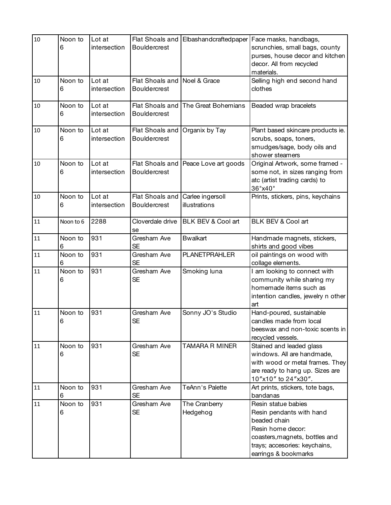| 10 | Noon to      | Lot at                 |                                                     | Flat Shoals and Elbashandcraftedpaper | Face masks, handbags,                                                                                                                                                           |
|----|--------------|------------------------|-----------------------------------------------------|---------------------------------------|---------------------------------------------------------------------------------------------------------------------------------------------------------------------------------|
|    | 6            | intersection           | <b>Bouldercrest</b>                                 |                                       | scrunchies, small bags, county<br>purses, house decor and kitchen<br>decor. All from recycled<br>materials.                                                                     |
| 10 | Noon to<br>6 | Lot at<br>intersection | Flat Shoals and Noel & Grace<br><b>Bouldercrest</b> |                                       | Selling high end second hand<br>clothes                                                                                                                                         |
| 10 | Noon to<br>6 | Lot at<br>intersection | Flat Shoals and<br><b>Bouldercrest</b>              | The Great Bohemians                   | Beaded wrap bracelets                                                                                                                                                           |
| 10 | Noon to<br>6 | Lot at<br>intersection | Flat Shoals and<br><b>Bouldercrest</b>              | Organix by Tay                        | Plant based skincare products ie.<br>scrubs, soaps, toners,<br>smudges/sage, body oils and<br>shower steamers                                                                   |
| 10 | Noon to<br>6 | Lot at<br>intersection | <b>Bouldercrest</b>                                 | Flat Shoals and Peace Love art goods  | Original Artwork, some framed -<br>some not, in sizes ranging from<br>atc (artist trading cards) to<br>36"x40"                                                                  |
| 10 | Noon to<br>6 | Lot at<br>intersection | Flat Shoals and<br>Bouldercrest                     | Carlee ingersoll<br>illustrations     | Prints, stickers, pins, keychains                                                                                                                                               |
| 11 | Noon to 6    | 2288                   | Cloverdale drive<br>se                              | BLK BEV & Cool art                    | BLK BEV & Cool art                                                                                                                                                              |
| 11 | Noon to<br>6 | 931                    | Gresham Ave<br><b>SE</b>                            | <b>Bwalkart</b>                       | Handmade magnets, stickers,<br>shirts and good vibes                                                                                                                            |
| 11 | Noon to<br>6 | 931                    | Gresham Ave<br><b>SE</b>                            | <b>PLANETPRAHLER</b>                  | oil paintings on wood with<br>collage elements.                                                                                                                                 |
| 11 | Noon to<br>6 | 931                    | Gresham Ave<br><b>SE</b>                            | Smoking luna                          | I am looking to connect with<br>community while sharing my<br>homemade items such as<br>intention candles, jewelry n other<br>art                                               |
| 11 | Noon to<br>6 | 931                    | Gresham Ave<br><b>SE</b>                            | Sonny JO's Studio                     | Hand-poured, sustainable<br>candles made from local<br>beeswax and non-toxic scents in<br>recycled vessels.                                                                     |
| 11 | Noon to<br>6 | 931                    | Gresham Ave<br><b>SE</b>                            | TAMARA R MINER                        | Stained and leaded glass<br>windows. All are handmade,<br>with wood or metal frames. They<br>are ready to hang up. Sizes are<br>10"x10" to 24"x30".                             |
| 11 | Noon to<br>6 | 931                    | Gresham Ave<br><b>SE</b>                            | TeAnn's Palette                       | Art prints, stickers, tote bags,<br>bandanas                                                                                                                                    |
| 11 | Noon to<br>6 | 931                    | Gresham Ave<br><b>SE</b>                            | The Cranberry<br>Hedgehog             | Resin statue babies<br>Resin pendants with hand<br>beaded chain<br>Resin home decor:<br>coasters, magnets, bottles and<br>trays; accesories: keychains,<br>earrings & bookmarks |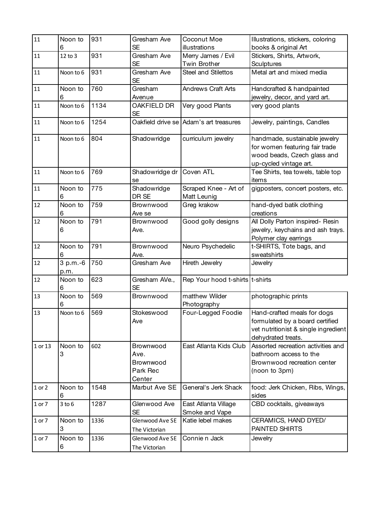| 11      | Noon to          | 931  | Gresham Ave                                          | Coconut Moe                            | Illustrations, stickers, coloring                                                                                            |
|---------|------------------|------|------------------------------------------------------|----------------------------------------|------------------------------------------------------------------------------------------------------------------------------|
|         | 6                |      | <b>SE</b>                                            | illustrations                          | books & original Art                                                                                                         |
| 11      | 12 to 3          | 931  | Gresham Ave<br><b>SE</b>                             | Merry James / Evil<br>Twin Brother     | Stickers, Shirts, Artwork,<br>Sculptures                                                                                     |
| 11      | Noon to 6        | 931  | Gresham Ave<br><b>SE</b>                             | Steel and Stilettos                    | Metal art and mixed media                                                                                                    |
| 11      | Noon to<br>6     | 760  | Gresham<br>Avenue                                    | <b>Andrews Craft Arts</b>              | Handcrafted & handpainted<br>jewelry, decor, and yard art.                                                                   |
| 11      | Noon to 6        | 1134 | OAKFIELD DR<br><b>SE</b>                             | Very good Plants                       | very good plants                                                                                                             |
| 11      | Noon to 6        | 1254 |                                                      | Oakfield drive se Adam's art treasures | Jewelry, paintings, Candles                                                                                                  |
| 11      | Noon to 6        | 804  | Shadowridge                                          | curriculum jewelry                     | handmade, sustainable jewelry<br>for women featuring fair trade<br>wood beads, Czech glass and<br>up-cycled vintage art.     |
| 11      | Noon to 6        | 769  | Shadowridge dr<br>se                                 | Coven ATL                              | Tee Shirts, tea towels, table top<br>items                                                                                   |
| 11      | Noon to<br>6     | 775  | Shadowridge<br>DR SE                                 | Scraped Knee - Art of<br>Matt Leunig   | gigposters, concert posters, etc.                                                                                            |
| 12      | Noon to<br>6     | 759  | Brownwood<br>Ave se                                  | Greg krakow                            | hand-dyed batik clothing<br>creations                                                                                        |
| 12      | Noon to<br>6     | 791  | Brownwood<br>Ave.                                    | Good golly designs                     | All Dolly Parton inspired- Resin<br>jewelry, keychains and ash trays.<br>Polymer clay earrings                               |
| 12      | Noon to<br>6     | 791  | Brownwood<br>Ave.                                    | Neuro Psychedelic                      | t-SHIRTS, Tote bags, and<br>sweatshirts                                                                                      |
| 12      | 3 p.m.-6<br>p.m. | 750  | Gresham Ave                                          | Hireth Jewelry                         | Jewelry                                                                                                                      |
| 12      | Noon to<br>6     | 623  | Gresham AVe.,<br><b>SE</b>                           | Rep Your hood t-shirts t-shirts        |                                                                                                                              |
| 13      | Noon to<br>6     | 569  | Brownwood                                            | matthew Wilder<br>Photography          | photographic prints                                                                                                          |
| 13      | Noon to 6        | 569  | Stokeswood<br>Ave                                    | Four-Legged Foodie                     | Hand-crafted meals for dogs<br>formulated by a board certified<br>vet nutritionist & single ingredient<br>dehydrated treats. |
| 1 or 13 | Noon to<br>3     | 602  | Brownwood<br>Ave.<br>Brownwood<br>Park Rec<br>Center | East Atlanta Kids Club                 | Assorted recreation activities and<br>bathroom access to the<br>Brownwood recreation center<br>(noon to 3pm)                 |
| 1 or 2  | Noon to<br>6     | 1548 | Marbut Ave SE                                        | General's Jerk Shack                   | food: Jerk Chicken, Ribs, Wings,<br>sides                                                                                    |
| 1 or 7  | $3$ to $6$       | 1287 | Glenwood Ave<br><b>SE</b>                            | East Atlanta Village<br>Smoke and Vape | CBD cocktails, giveaways                                                                                                     |
| 1 or 7  | Noon to<br>3     | 1336 | Glenwood Ave SE<br>The Victorian                     | Katie lebel makes                      | CERAMICS, HAND DYED/<br>PAINTED SHIRTS                                                                                       |
| 1 or 7  | Noon to<br>6     | 1336 | Glenwood Ave SE<br>The Victorian                     | Connie n Jack                          | Jewelry                                                                                                                      |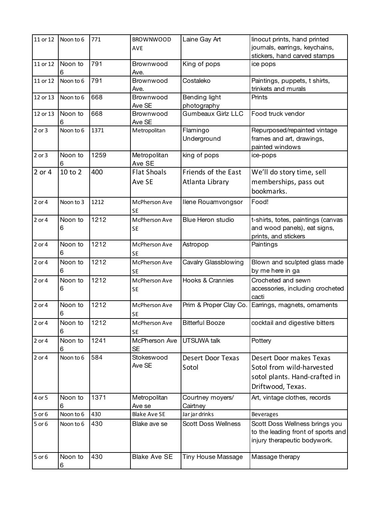| 11 or 12   | Noon to 6    | 771  | <b>BROWNWOOD</b>             | Laine Gay Art                          | linocut prints, hand printed                                                                               |
|------------|--------------|------|------------------------------|----------------------------------------|------------------------------------------------------------------------------------------------------------|
|            |              |      | <b>AVE</b>                   |                                        | journals, earrings, keychains,                                                                             |
| 11 or 12   | Noon to      | 791  | Brownwood                    | King of pops                           | stickers, hand carved stamps<br>ice pops                                                                   |
|            | 6            |      | Ave.                         |                                        |                                                                                                            |
| 11 or 12   | Noon to 6    | 791  | Brownwood<br>Ave.            | Costaleko                              | Paintings, puppets, t shirts,<br>trinkets and murals                                                       |
| 12 or 13   | Noon to 6    | 668  | Brownwood<br>Ave SE          | Bending light<br>photography           | Prints                                                                                                     |
| 12 or 13   | Noon to<br>6 | 668  | Brownwood<br>Ave SE          | Gumbeaux Girlz LLC                     | Food truck vendor                                                                                          |
| $2$ or $3$ | Noon to 6    | 1371 | Metropolitan                 | Flamingo<br>Underground                | Repurposed/repainted vintage<br>frames and art, drawings,<br>painted windows                               |
| $2$ or $3$ | Noon to<br>6 | 1259 | Metropolitan<br>Ave SE       | king of pops                           | ice-pops                                                                                                   |
| 2 or 4     | 10 to 2      | 400  | <b>Flat Shoals</b><br>Ave SE | Friends of the East<br>Atlanta Library | We'll do story time, sell<br>memberships, pass out<br>bookmarks.                                           |
| $2$ or $4$ | Noon to 3    | 1212 | McPherson Ave<br><b>SE</b>   | Ilene Rouamvongsor                     | Food!                                                                                                      |
| 2 or 4     | Noon to<br>6 | 1212 | McPherson Ave<br><b>SE</b>   | Blue Heron studio                      | t-shirts, totes, paintings (canvas<br>and wood panels), eat signs,<br>prints, and stickers                 |
| 2 or 4     | Noon to<br>6 | 1212 | McPherson Ave<br><b>SE</b>   | Astropop                               | Paintings                                                                                                  |
| $2$ or $4$ | Noon to<br>6 | 1212 | McPherson Ave<br><b>SE</b>   | Cavalry Glassblowing                   | Blown and sculpted glass made<br>by me here in ga                                                          |
| 2 or 4     | Noon to<br>6 | 1212 | McPherson Ave<br><b>SE</b>   | Hooks & Crannies                       | Crocheted and sewn<br>accessories, including crocheted<br>cacti                                            |
| $2$ or $4$ | Noon to<br>6 | 1212 | McPherson Ave<br><b>SE</b>   | Prim & Proper Clay Co.                 | Earrings, magnets, ornaments                                                                               |
| 2 or 4     | Noon to<br>6 | 1212 | McPherson Ave<br><b>SE</b>   | <b>Bitterful Booze</b>                 | cocktail and digestive bitters                                                                             |
| 2 or 4     | Noon to<br>6 | 1241 | McPherson Ave<br><b>SE</b>   | <b>UTSUWA talk</b>                     | Pottery                                                                                                    |
| 2 or 4     | Noon to 6    | 584  | Stokeswood<br>Ave SE         | <b>Desert Door Texas</b><br>Sotol      | Desert Door makes Texas<br>Sotol from wild-harvested<br>sotol plants. Hand-crafted in<br>Driftwood, Texas. |
| 4 or 5     | Noon to<br>6 | 1371 | Metropolitan<br>Ave se       | Courtney moyers/<br>Cairtney           | Art, vintage clothes, records                                                                              |
| 5 or 6     | Noon to 6    | 430  | <b>Blake Ave SE</b>          | Jar jar drinks                         | <b>Beverages</b>                                                                                           |
| 5 or 6     | Noon to 6    | 430  | Blake ave se                 | <b>Scott Doss Wellness</b>             | Scott Doss Wellness brings you<br>to the leading front of sports and<br>injury therapeutic bodywork.       |
| 5 or 6     | Noon to<br>6 | 430  | <b>Blake Ave SE</b>          | Tiny House Massage                     | Massage therapy                                                                                            |